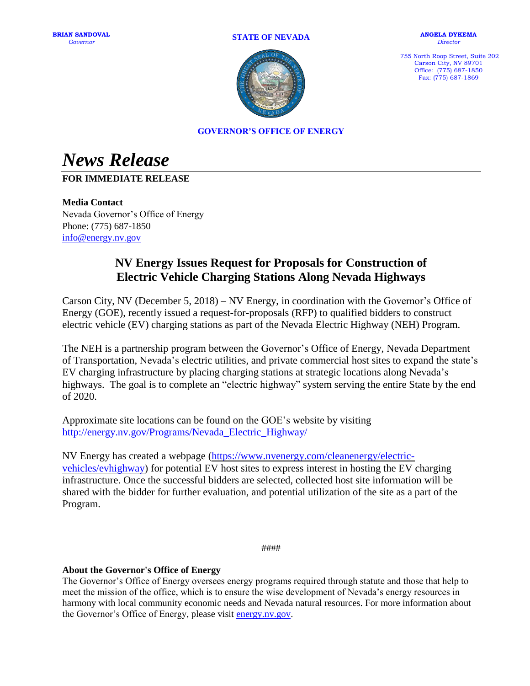#### **STATE OF NEVADA**



**ANGELA DYKEMA** *Director*

755 North Roop Street, Suite 202 Carson City, NV 89701 Office: (775) 687-1850 Fax: (775) 687-1869

**GOVERNOR'S OFFICE OF ENERGY**

*News Release*

## **FOR IMMEDIATE RELEASE**

**Media Contact** Nevada Governor's Office of Energy Phone: (775) 687-1850 [info@energy.nv.gov](mailto:info@energy.nv.gov)

# **NV Energy Issues Request for Proposals for Construction of Electric Vehicle Charging Stations Along Nevada Highways**

Carson City, NV (December 5, 2018) – NV Energy, in coordination with the Governor's Office of Energy (GOE), recently issued a request-for-proposals (RFP) to qualified bidders to construct electric vehicle (EV) charging stations as part of the Nevada Electric Highway (NEH) Program.

The NEH is a partnership program between the Governor's Office of Energy, Nevada Department of Transportation, Nevada's electric utilities, and private commercial host sites to expand the state's EV charging infrastructure by placing charging stations at strategic locations along Nevada's highways. The goal is to complete an "electric highway" system serving the entire State by the end of 2020.

Approximate site locations can be found on the GOE's website by visiting [http://energy.nv.gov/Programs/Nevada\\_Electric\\_Highway/](http://energy.nv.gov/Programs/Nevada_Electric_Highway/) 

NV Energy has created a webpage [\(https://www.nvenergy.com/cleanenergy/electric](https://www.nvenergy.com/cleanenergy/electric-vehicles/evhighway)[vehicles/evhighway\)](https://www.nvenergy.com/cleanenergy/electric-vehicles/evhighway) for potential EV host sites to express interest in hosting the EV charging infrastructure. Once the successful bidders are selected, collected host site information will be shared with the bidder for further evaluation, and potential utilization of the site as a part of the Program.

####

### **About the Governor's Office of Energy**

The Governor's Office of Energy oversees energy programs required through statute and those that help to meet the mission of the office, which is to ensure the wise development of Nevada's energy resources in harmony with local community economic needs and Nevada natural resources. For more information about the Governor's Office of Energy, please visit [energy.nv.gov.](http://energy.nv.gov/)